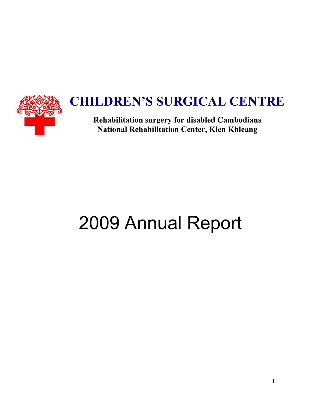

## **CHILDREN'S SURGICAL CENTRE**

**Rehabilitation surgery for disabled Cambodians National Rehabilitation Center, Kien Khleang** 

# 2009 Annual Report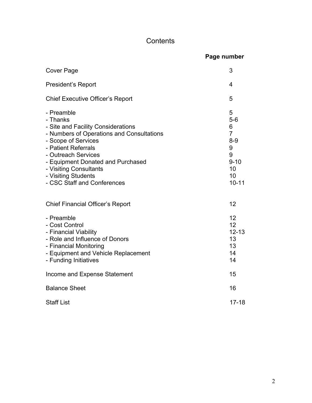## **Contents**

|                                                                                                                                                                                                                                                                                                     | Page number                                                                               |
|-----------------------------------------------------------------------------------------------------------------------------------------------------------------------------------------------------------------------------------------------------------------------------------------------------|-------------------------------------------------------------------------------------------|
| Cover Page                                                                                                                                                                                                                                                                                          | 3                                                                                         |
| <b>President's Report</b>                                                                                                                                                                                                                                                                           | 4                                                                                         |
| <b>Chief Executive Officer's Report</b>                                                                                                                                                                                                                                                             | 5                                                                                         |
| - Preamble<br>- Thanks<br>- Site and Facility Considerations<br>- Numbers of Operations and Consultations<br>- Scope of Services<br>- Patient Referrals<br>- Outreach Services<br>- Equipment Donated and Purchased<br>- Visiting Consultants<br>- Visiting Students<br>- CSC Staff and Conferences | 5<br>$5-6$<br>6<br>$\overline{7}$<br>$8-9$<br>9<br>9<br>$9 - 10$<br>10<br>10<br>$10 - 11$ |
| <b>Chief Financial Officer's Report</b>                                                                                                                                                                                                                                                             | 12                                                                                        |
| - Preamble<br>- Cost Control<br>- Financial Viability<br>- Role and Influence of Donors<br>- Financial Monitoring<br>- Equipment and Vehicle Replacement<br>- Funding Initiatives                                                                                                                   | 12<br>12<br>$12 - 13$<br>13<br>13<br>14<br>14                                             |
| Income and Expense Statement                                                                                                                                                                                                                                                                        | 15                                                                                        |
| <b>Balance Sheet</b>                                                                                                                                                                                                                                                                                | 16                                                                                        |
| <b>Staff List</b>                                                                                                                                                                                                                                                                                   | $17 - 18$                                                                                 |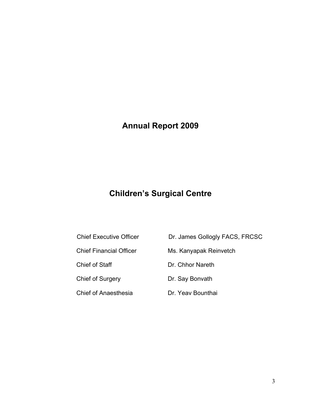## **Annual Report 2009**

## **Children's Surgical Centre**

- 
- 
- 
- 
- Chief of Anaesthesia **Dr. Yeav Bounthai**
- Chief Executive Officer Dr. James Gollogly FACS, FRCSC
- Chief Financial Officer Ms. Kanyapak Reinvetch
- Chief of Staff Dr. Chhor Nareth
- Chief of Surgery Dr. Say Bonvath
	-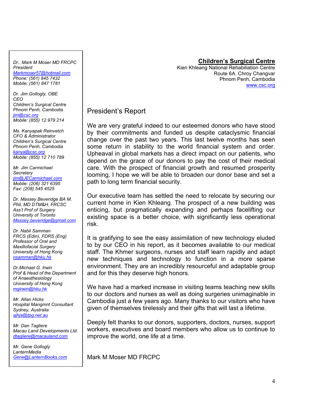#### *Dr.. Mark M Moser MD FRCPC President Markmoser57@hotmail.com*

*Phone: (561) 845 7432 Mobile: (561) 847 1781* 

*Dr. Jim Gollogly, OBE CEO Children's Surgical Centre Phnom Penh, Cambodia jim@csc.org Mobile: (855) 12 979 214* 

*Ms. Kanyapak Reinvetch CFO & Administrator Children's Surgical Centre Phnom Penh, Cambodia kanya@csc.org Mobile: (855) 12 710 789* 

*Mr. Jim Carmichael Secretary jim@JECarmichael.com Mobile: (206) 321 6395 Fax: (208) 545 4525* 

*Dr. Massey Beveridge BA M. Phil, MD DTM&H, FRCSC Ass't Prof of Surgery University of Toronto Massey.beveridge@gmail.com*

*Dr. Nabil Samman FRCS (Edin), FDRS (Eng) Professor of Oral and Maxillofacial Surgery University of Hong Kong nsamman@hku.hk*

*Dr.Michael G. Irwin Prof & Head of the Department of Anaesthesiology University of Hong Kong mgirwin@hku.hk*

*Mr. Allan Hicks Hospital Mangmnt Consultant Sydney, Australia ajhja@tpg.net.au*

*Mr. Dan Tagliere Macau Land Developments Ltd. dtagliere@macauland.com*

*Mr. Gene Gollogly LanternMedia Gene@LanternBooks.com*

#### **Children's Surgical Centre**

Kien Khleang National Rehabiliation Centre Route 6A. Chroy Changvar Phnom Penh, Cambodia www.csc.org

### President's Report

We are very grateful indeed to our esteemed donors who have stood by their commitments and funded us despite cataclysmic financial change over the past two years. This last twelve months has seen some return in stability to the world financial system and order. Upheaval in global markets has a direct impact on our patients, who depend on the grace of our donors to pay the cost of their medical care. With the prospect of financial growth and resumed prosperity looming, I hope we will be able to broaden our donor base and set a path to long term financial security.

Our executive team has settled the need to relocate by securing our current home in Kien Khleang. The prospect of a new building was enticing, but pragmatically expanding and perhaps facelifting our existing space is a better choice, with significantly less operational risk.

It is gratifying to see the easy assimilation of new technology eluded to by our CEO in his report, as it becomes available to our medical staff. The Khmer surgeons, nurses and staff learn rapidly and adapt new techniques and technology to function in a more sparse environment. They are an incredibly resourceful and adaptable group and for this they deserve high honors.

We have had a marked increase in visiting teams teaching new skills to our doctors and nurses as well as doing surgeries unimaginable in Cambodia just a few years ago. Many thanks to our visitors who have given of themselves tirelessly and their gifts that will last a lifetime.

Deeply felt thanks to our donors, supporters, doctors, nurses, support workers, executives and board members who allow us to continue to improve the world, one life at a time.

Mark M Moser MD FRCPC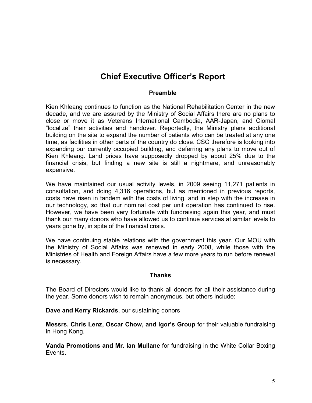## **Chief Executive Officer's Report**

#### **Preamble**

Kien Khleang continues to function as the National Rehabilitation Center in the new decade, and we are assured by the Ministry of Social Affairs there are no plans to close or move it as Veterans International Cambodia, AAR-Japan, and Ciomal "localize" their activities and handover. Reportedly, the Ministry plans additional building on the site to expand the number of patients who can be treated at any one time, as facilities in other parts of the country do close. CSC therefore is looking into expanding our currently occupied building, and deferring any plans to move out of Kien Khleang. Land prices have supposedly dropped by about 25% due to the financial crisis, but finding a new site is still a nightmare, and unreasonably expensive.

We have maintained our usual activity levels, in 2009 seeing 11,271 patients in consultation, and doing 4,316 operations, but as mentioned in previous reports, costs have risen in tandem with the costs of living, and in step with the increase in our technology, so that our nominal cost per unit operation has continued to rise. However, we have been very fortunate with fundraising again this year, and must thank our many donors who have allowed us to continue services at similar levels to years gone by, in spite of the financial crisis.

We have continuing stable relations with the government this year. Our MOU with the Ministry of Social Affairs was renewed in early 2008, while those with the Ministries of Health and Foreign Affairs have a few more years to run before renewal is necessary.

#### **Thanks**

The Board of Directors would like to thank all donors for all their assistance during the year. Some donors wish to remain anonymous, but others include:

**Dave and Kerry Rickards**, our sustaining donors

**Messrs. Chris Lenz, Oscar Chow, and Igor's Group** for their valuable fundraising in Hong Kong.

**Vanda Promotions and Mr. Ian Mullane** for fundraising in the White Collar Boxing Events.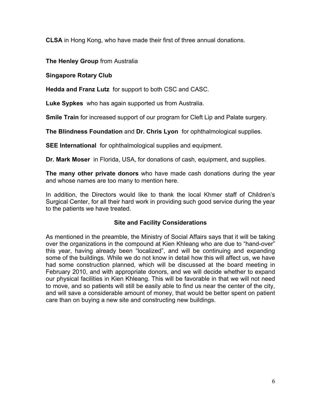**CLSA** in Hong Kong, who have made their first of three annual donations.

**The Henley Group** from Australia

**Singapore Rotary Club** 

**Hedda and Franz Lutz** for support to both CSC and CASC.

**Luke Sypkes** who has again supported us from Australia.

**Smile Train** for increased support of our program for Cleft Lip and Palate surgery.

**The Blindness Foundation** and **Dr. Chris Lyon** for ophthalmological supplies.

**SEE International** for ophthalmological supplies and equipment.

**Dr. Mark Moser** in Florida, USA, for donations of cash, equipment, and supplies.

**The many other private donors** who have made cash donations during the year and whose names are too many to mention here.

In addition, the Directors would like to thank the local Khmer staff of Children's Surgical Center, for all their hard work in providing such good service during the year to the patients we have treated.

#### **Site and Facility Considerations**

As mentioned in the preamble, the Ministry of Social Affairs says that it will be taking over the organizations in the compound at Kien Khleang who are due to "hand-over" this year, having already been "localized", and will be continuing and expanding some of the buildings. While we do not know in detail how this will affect us, we have had some construction planned, which will be discussed at the board meeting in February 2010, and with appropriate donors, and we will decide whether to expand our physical facilities in Kien Khleang. This will be favorable in that we will not need to move, and so patients will still be easily able to find us near the center of the city, and will save a considerable amount of money, that would be better spent on patient care than on buying a new site and constructing new buildings.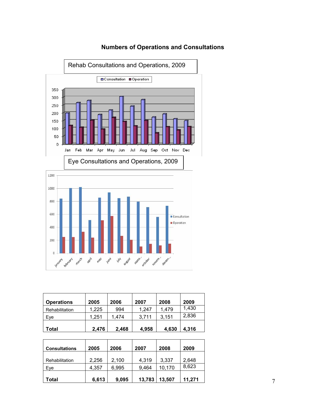

#### **Numbers of Operations and Consultations**

| <b>Operations</b> | 2005  | 2006  | 2007  | 2008  | 2009  |
|-------------------|-------|-------|-------|-------|-------|
| Rehabilitation    | 1.225 | 994   | 1,247 | 1,479 | 1,430 |
| Eve               | 1.251 | 1.474 | 3,711 | 3,151 | 2,836 |
| Total             | 2,476 | 2,468 | 4,958 | 4,630 | 4,316 |

| <b>Consultations</b> | 2005  | 2006  | 2007   | 2008   | 2009   |
|----------------------|-------|-------|--------|--------|--------|
| Rehabilitation       | 2,256 | 2,100 | 4,319  | 3,337  | 2,648  |
| Eve                  | 4,357 | 6.995 | 9,464  | 10,170 | 8,623  |
| Total                | 6,613 | 9,095 | 13,783 | 13,507 | 11.271 |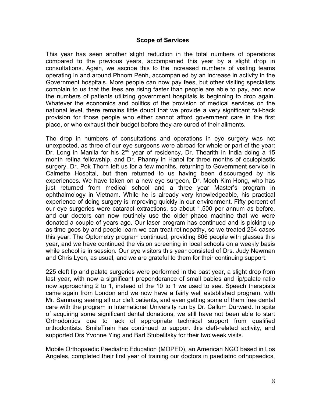#### **Scope of Services**

This year has seen another slight reduction in the total numbers of operations compared to the previous years, accompanied this year by a slight drop in consultations. Again, we ascribe this to the increased numbers of visiting teams operating in and around Phnom Penh, accompanied by an increase in activity in the Government hospitals. More people can now pay fees, but other visiting specialists complain to us that the fees are rising faster than people are able to pay, and now the numbers of patients utilizing government hospitals is beginning to drop again. Whatever the economics and politics of the provision of medical services on the national level, there remains little doubt that we provide a very significant fall-back provision for those people who either cannot afford government care in the first place, or who exhaust their budget before they are cured of their ailments.

The drop in numbers of consultations and operations in eye surgery was not unexpected, as three of our eye surgeons were abroad for whole or part of the year: Dr. Long in Manila for his 2<sup>nd</sup> year of residency, Dr. Thearith in India doing a 15 month retina fellowship, and Dr. Phanny in Hanoi for three months of oculoplastic surgery. Dr. Pok Thorn left us for a few months, returning to Government service in Calmette Hospital, but then returned to us having been discouraged by his experiences. We have taken on a new eye surgeon, Dr. Moch Kim Hong, who has just returned from medical school and a three year Master's program in ophthalmology in Vietnam. While he is already very knowledgeable, his practical experience of doing surgery is improving quickly in our environment. Fifty percent of our eye surgeries were cataract extractions, so about 1,500 per annum as before, and our doctors can now routinely use the older phaco machine that we were donated a couple of years ago. Our laser program has continued and is picking up as time goes by and people learn we can treat retinopathy, so we treated 254 cases this year. The Optometry program continued, providing 606 people with glasses this year, and we have continued the vision screening in local schools on a weekly basis while school is in session. Our eye visitors this year consisted of Drs. Judy Newman and Chris Lyon, as usual, and we are grateful to them for their continuing support.

225 cleft lip and palate surgeries were performed in the past year, a slight drop from last year, with now a significant preponderance of small babies and lip/palate ratio now approaching 2 to 1, instead of the 10 to 1 we used to see. Speech therapists came again from London and we now have a fairly well established program, with Mr. Samnang seeing all our cleft patients, and even getting some of them free dental care with the program in International University run by Dr. Callum Durward. In spite of acquiring some significant dental donations, we still have not been able to start Orthodontics due to lack of appropriate technical support from qualified orthodontists. SmileTrain has continued to support this cleft-related activity, and supported Drs Yvonne Ying and Bart Stubelitsky for their two week visits.

Mobile Orthopaedic Paediatric Education (MOPED), an American NGO based in Los Angeles, completed their first year of training our doctors in paediatric orthopaedics,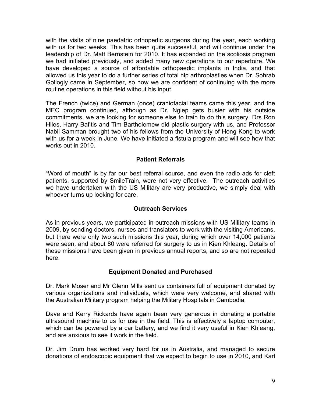with the visits of nine paedatric orthopedic surgeons during the year, each working with us for two weeks. This has been quite successful, and will continue under the leadership of Dr. Matt Bernstein for 2010. It has expanded on the scoliosis program we had initiated previously, and added many new operations to our repertoire. We have developed a source of affordable orthopaedic implants in India, and that allowed us this year to do a further series of total hip arthroplasties when Dr. Sohrab Gollogly came in September, so now we are confident of continuing with the more routine operations in this field without his input.

The French (twice) and German (once) craniofacial teams came this year, and the MEC program continued, although as Dr. Ngiep gets busier with his outside commitments, we are looking for someone else to train to do this surgery. Drs Ron Hiles, Harry Bafitis and Tim Bartholemew did plastic surgery with us, and Professor Nabil Samman brought two of his fellows from the University of Hong Kong to work with us for a week in June. We have initiated a fistula program and will see how that works out in 2010.

#### **Patient Referrals**

"Word of mouth" is by far our best referral source, and even the radio ads for cleft patients, supported by SmileTrain, were not very effective. The outreach activities we have undertaken with the US Military are very productive, we simply deal with whoever turns up looking for care.

#### **Outreach Services**

As in previous years, we participated in outreach missions with US Military teams in 2009, by sending doctors, nurses and translators to work with the visiting Americans, but there were only two such missions this year, during which over 14,000 patients were seen, and about 80 were referred for surgery to us in Kien Khleang. Details of these missions have been given in previous annual reports, and so are not repeated here.

#### **Equipment Donated and Purchased**

Dr. Mark Moser and Mr Glenn Mills sent us containers full of equipment donated by various organizations and individuals, which were very welcome, and shared with the Australian Military program helping the Military Hospitals in Cambodia.

Dave and Kerry Rickards have again been very generous in donating a portable ultrasound machine to us for use in the field. This is effectively a laptop computer, which can be powered by a car battery, and we find it very useful in Kien Khleang, and are anxious to see it work in the field.

Dr. Jim Drum has worked very hard for us in Australia, and managed to secure donations of endoscopic equipment that we expect to begin to use in 2010, and Karl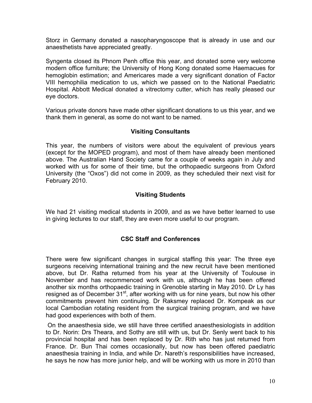Storz in Germany donated a nasopharyngoscope that is already in use and our anaesthetists have appreciated greatly.

Syngenta closed its Phnom Penh office this year, and donated some very welcome modern office furniture; the University of Hong Kong donated some Haemacues for hemoglobin estimation; and Americares made a very significant donation of Factor VIII hemophilia medication to us, which we passed on to the National Paediatric Hospital. Abbott Medical donated a vitrectomy cutter, which has really pleased our eye doctors.

Various private donors have made other significant donations to us this year, and we thank them in general, as some do not want to be named.

#### **Visiting Consultants**

This year, the numbers of visitors were about the equivalent of previous years (except for the MOPED program), and most of them have already been mentioned above. The Australian Hand Society came for a couple of weeks again in July and worked with us for some of their time, but the orthopaedic surgeons from Oxford University (the "Oxos") did not come in 2009, as they scheduled their next visit for February 2010.

#### **Visiting Students**

We had 21 visiting medical students in 2009, and as we have better learned to use in giving lectures to our staff, they are even more useful to our program.

#### **CSC Staff and Conferences**

There were few significant changes in surgical staffing this year: The three eye surgeons receiving international training and the new recruit have been mentioned above, but Dr. Ratha returned from his year at the University of Toulouse in November and has recommenced work with us, although he has been offered another six months orthopaedic training in Grenoble starting in May 2010. Dr Ly has resigned as of December 31<sup>st</sup>, after working with us for nine years, but now his other commitments prevent him continuing. Dr Raksmey replaced Dr. Kompeak as our local Cambodian rotating resident from the surgical training program, and we have had good experiences with both of them.

 On the anaesthesia side, we still have three certified anaesthesiologists in addition to Dr. Norin: Drs Theara, and Sothy are still with us, but Dr. Senly went back to his provincial hospital and has been replaced by Dr. Rith who has just returned from France. Dr. Bun Thai comes occasionally, but now has been offered paediatric anaesthesia training in India, and while Dr. Nareth's responsibilities have increased, he says he now has more junior help, and will be working with us more in 2010 than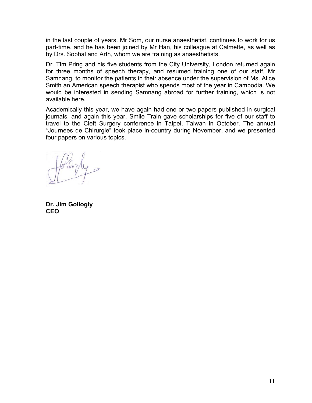in the last couple of years. Mr Som, our nurse anaesthetist, continues to work for us part-time, and he has been joined by Mr Han, his colleague at Calmette, as well as by Drs. Sophal and Arth, whom we are training as anaesthetists.

Dr. Tim Pring and his five students from the City University, London returned again for three months of speech therapy, and resumed training one of our staff, Mr Samnang, to monitor the patients in their absence under the supervision of Ms. Alice Smith an American speech therapist who spends most of the year in Cambodia. We would be interested in sending Samnang abroad for further training, which is not available here.

Academically this year, we have again had one or two papers published in surgical journals, and again this year, Smile Train gave scholarships for five of our staff to travel to the Cleft Surgery conference in Taipei, Taiwan in October. The annual "Journees de Chirurgie" took place in-country during November, and we presented four papers on various topics.

**Dr. Jim Gollogly CEO**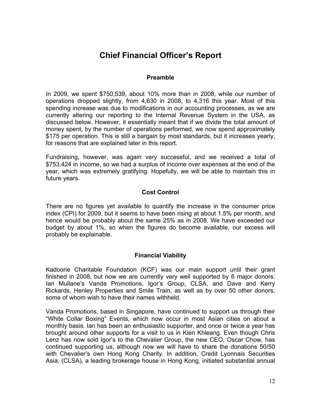## **Chief Financial Officer's Report**

#### **Preamble**

In 2009, we spent \$750,539, about 10% more than in 2008, while our number of operations dropped slightly, from 4,630 in 2008, to 4,316 this year. Most of this spending increase was due to modifications in our accounting processes, as we are currently altering our reporting to the Internal Revenue System in the USA, as discussed below. However, it essentially meant that if we divide the total amount of money spent, by the number of operations performed, we now spend approximately \$175 per operation. This is still a bargain by most standards, but it increases yearly, for reasons that are explained later in this report.

Fundraising, however, was again very successful, and we received a total of \$753,424 in income, so we had a surplus of income over expenses at the end of the year, which was extremely gratifying. Hopefully, we will be able to maintain this in future years.

#### **Cost Control**

There are no figures yet available to quantify the increase in the consumer price index (CPI) for 2009, but it seems to have been rising at about 1.5% per month, and hence would be probably about the same 25% as in 2008. We have exceeded our budget by about 1%, so when the figures do become available, our excess will probably be explainable.

#### **Financial Viability**

Kadoorie Charitable Foundation (KCF) was our main support until their grant finished in 2008, but now we are currently very well supported by 6 major donors: Ian Mullane's Vanda Promotions, Igor's Group, CLSA, and Dave and Kerry Rickards, Henley Properties and Smile Train, as well as by over 50 other donors, some of whom wish to have their names withheld.

Vanda Promotions, based in Singapore, have continued to support us through their "White Collar Boxing" Events, which now occur in most Asian cities on about a monthly basis. Ian has been an enthusiastic supporter, and once or twice a year has brought around other supports for a visit to us in Kien Khleang. Even though Chris Lenz has now sold Igor's to the Chevalier Group, the new CEO, Oscar Chow, has continued supporting us, although now we will have to share the donations 50/50 with Chevalier's own Hong Kong Charity. In addition, Credit Lyonnais Securities Asia, (CLSA), a leading brokerage house in Hong Kong, initiated substantial annual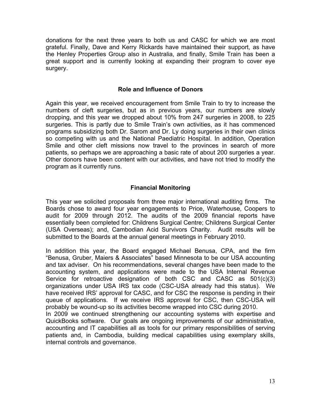donations for the next three years to both us and CASC for which we are most grateful. Finally, Dave and Kerry Rickards have maintained their support, as have the Henley Properties Group also in Australia, and finally, Smile Train has been a great support and is currently looking at expanding their program to cover eye surgery.

#### **Role and Influence of Donors**

Again this year, we received encouragement from Smile Train to try to increase the numbers of cleft surgeries, but as in previous years, our numbers are slowly dropping, and this year we dropped about 10% from 247 surgeries in 2008, to 225 surgeries. This is partly due to Smile Train's own activities, as it has commenced programs subsidizing both Dr. Sarom and Dr. Ly doing surgeries in their own clinics so competing with us and the National Paediatric Hospital. In addition, Operation Smile and other cleft missions now travel to the provinces in search of more patients, so perhaps we are approaching a basic rate of about 200 surgeries a year. Other donors have been content with our activities, and have not tried to modify the program as it currently runs.

#### **Financial Monitoring**

This year we solicited proposals from three major international auditing firms. The Boards chose to award four year engagements to Price, Waterhouse, Coopers to audit for 2009 through 2012. The audits of the 2009 financial reports have essentially been completed for: Childrens Surgical Centre; Childrens Surgical Center (USA Overseas); and, Cambodian Acid Survivors Charity. Audit results will be submitted to the Boards at the annual general meetings in February 2010.

In addition this year, the Board engaged Michael Benusa, CPA, and the firm "Benusa, Gruber, Maiers & Associates" based Minnesota to be our USA accounting and tax adviser. On his recommendations, several changes have been made to the accounting system, and applications were made to the USA Internal Revenue Service for retroactive designation of both CSC and CASC as 501(c)(3) organizations under USA IRS tax code (CSC-USA already had this status). We have received IRS' approval for CASC, and for CSC the response is pending in their queue of applications. If we receive IRS approval for CSC, then CSC-USA will probably be wound-up so its activities become wrapped into CSC during 2010.

In 2009 we continued strengthening our accounting systems with expertise and QuickBooks software. Our goals are ongoing improvements of our administrative, accounting and IT capabilities all as tools for our primary responsibilities of serving patients and, in Cambodia, building medical capabilities using exemplary skills, internal controls and governance.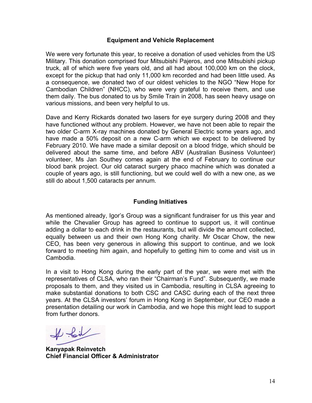#### **Equipment and Vehicle Replacement**

We were very fortunate this year, to receive a donation of used vehicles from the US Military. This donation comprised four Mitsubishi Pajeros, and one Mitsubishi pickup truck, all of which were five years old, and all had about 100,000 km on the clock, except for the pickup that had only 11,000 km recorded and had been little used. As a consequence, we donated two of our oldest vehicles to the NGO "New Hope for Cambodian Children" (NHCC), who were very grateful to receive them, and use them daily. The bus donated to us by Smile Train in 2008, has seen heavy usage on various missions, and been very helpful to us.

Dave and Kerry Rickards donated two lasers for eye surgery during 2008 and they have functioned without any problem. However, we have not been able to repair the two older C-arm X-ray machines donated by General Electric some years ago, and have made a 50% deposit on a new C-arm which we expect to be delivered by February 2010. We have made a similar deposit on a blood fridge, which should be delivered about the same time, and before ABV (Australian Business Volunteer) volunteer, Ms Jan Southey comes again at the end of February to continue our blood bank project. Our old cataract surgery phaco machine which was donated a couple of years ago, is still functioning, but we could well do with a new one, as we still do about 1,500 cataracts per annum.

#### **Funding Initiatives**

As mentioned already, Igor's Group was a significant fundraiser for us this year and while the Chevalier Group has agreed to continue to support us, it will continue adding a dollar to each drink in the restaurants, but will divide the amount collected, equally between us and their own Hong Kong charity. Mr Oscar Chow, the new CEO, has been very generous in allowing this support to continue, and we look forward to meeting him again, and hopefully to getting him to come and visit us in Cambodia.

In a visit to Hong Kong during the early part of the year, we were met with the representatives of CLSA, who ran their "Chairman's Fund". Subsequently, we made proposals to them, and they visited us in Cambodia, resulting in CLSA agreeing to make substantial donations to both CSC and CASC during each of the next three years. At the CLSA investors' forum in Hong Kong in September, our CEO made a presentation detailing our work in Cambodia, and we hope this might lead to support from further donors.

If for

**Kanyapak Reinvetch Chief Financial Officer & Administrator**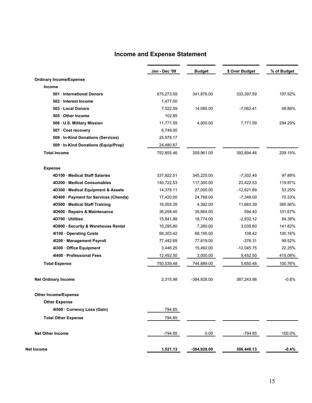#### **Income and Expense Statement**

|                                       | Jan - Dec '09 | <b>Budget</b> | \$ Over Budget | % of Budget |
|---------------------------------------|---------------|---------------|----------------|-------------|
| <b>Ordinary Income/Expense</b>        |               |               |                |             |
| Income                                |               |               |                |             |
| 501 · International Donors            | 675,273.59    | 341,876.00    | 333,397.59     | 197.52%     |
| 502 · Interest Income                 | 1,477.00      |               |                |             |
| 503 Local Donors                      | 7,022.59      | 14,085.00     | $-7,062.41$    | 49.86%      |
| 505 Other Income                      | 102.85        |               |                |             |
| 506 · U.S. Military Mission           | 11,771.59     | 4,000.00      | 7,771.59       | 294.29%     |
| 507 · Cost recovery                   | 6,749.00      |               |                |             |
| 508 · In-Kind Donations (Services)    | 25,978.17     |               |                |             |
| 509 · In-Kind Donations (Equip/Prop)  | 24,480.67     |               |                |             |
| <b>Total Income</b>                   | 752,855.46    | 359,961.00    | 392,894.46     | 209.15%     |
| <b>Expense</b>                        |               |               |                |             |
| 4D100 Medical Staff Salaries          | 337,922.51    | 345,225.00    | $-7,302.49$    | 97.89%      |
| 4D200 Medical Consumables             | 140,722.53    | 117,300.00    | 23,422.53      | 119.97%     |
| 4D300 · Medical Equipment & Assets    | 14,378.11     | 27,000.00     | $-12,621.89$   | 53.25%      |
| 4D400 · Payment for Services (Chenda) | 17,420.00     | 24,768.00     | $-7,348.00$    | 70.33%      |
| 4D500 · Medical Staff Training        | 16,055.39     | 4,392.00      | 11,663.39      | 365.56%     |
| 4D600 · Repairs & Maintenance         | 36,258.40     | 35,664.00     | 594.40         | 101.67%     |
| 4D700 · Utilities                     | 15,841.88     | 18,774.00     | $-2,932.12$    | 84.38%      |
| 4D800 · Security & Warehouse Rental   | 10,295.80     | 7,260.00      | 3,035.80       | 141.82%     |
| 4l100 · Operating Costs               | 68,303.42     | 68,195.00     | 108.42         | 100.16%     |
| 41200 · Management Payroll            | 77,442.69     | 77,819.00     | $-376.31$      | 99.52%      |
| 41300 · Office Equipment              | 3,446.25      | 15,492.00     | $-12,045.75$   | 22.25%      |
| 4I400 · Professional Fees             | 12,452.50     | 3,000.00      | 9,452.50       | 415.08%     |
| <b>Total Expense</b>                  | 750,539.48    | 744,889.00    | 5,650.48       | 100.76%     |
| <b>Net Ordinary Income</b>            | 2,315.98      | $-384,928.00$ | 387,243.98     | $-0.6%$     |
| <b>Other Income/Expense</b>           |               |               |                |             |
| <b>Other Expense</b>                  |               |               |                |             |
| 41500 Currency Loss (Gain)            | 794.85        |               |                |             |
| <b>Total Other Expense</b>            | 794.85        |               |                |             |
| <b>Net Other Income</b>               | $-794.85$     | 0.00          | $-794.85$      | 100.0%      |
|                                       | 1,521.13      | -384,928.00   | 386,449.13     | $-0.4\%$    |
| Net Income                            |               |               |                |             |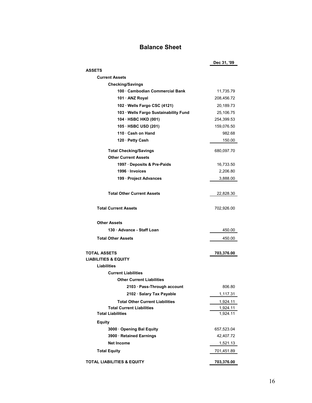#### **Balance Sheet**

|                                                                       | Dec 31, '09 |
|-----------------------------------------------------------------------|-------------|
| <b>ASSETS</b>                                                         |             |
| <b>Current Assets</b>                                                 |             |
| <b>Checking/Savings</b>                                               |             |
| 100 Cambodian Commercial Bank                                         | 11,735.79   |
| 101 · ANZ Royal                                                       | 208,456.72  |
| 102 · Wells Fargo CSC (4121)                                          | 20,189.73   |
| 103 · Wells Fargo Sustainability Fund                                 | 25,106.75   |
| 104 · HSBC HKD (001)                                                  | 254,399.53  |
| 105 · HSBC USD (201)                                                  | 159,076.50  |
| 110 · Cash on Hand                                                    | 982.68      |
| 120 · Petty Cash                                                      | 150.00      |
| <b>Total Checking/Savings</b>                                         | 680,097.70  |
| <b>Other Current Assets</b>                                           |             |
| 1997 Deposits & Pre-Paids                                             | 16,733.50   |
| 1996 · Invoices                                                       | 2,206.80    |
| 199 · Project Advances                                                | 3,888.00    |
|                                                                       |             |
| <b>Total Other Current Assets</b>                                     | 22,828.30   |
| <b>Total Current Assets</b>                                           | 702,926.00  |
| Other Assets                                                          |             |
| 130 · Advance - Staff Loan                                            | 450.00      |
| <b>Total Other Assets</b>                                             | 450.00      |
| <b>TOTAL ASSETS</b><br><b>LIABILITIES &amp; EQUITY</b><br>Liabilities | 703,376.00  |
| <b>Current Liabilities</b>                                            |             |
| <b>Other Current Liabilities</b>                                      |             |
| 2103 · Pass-Through account                                           | 806.80      |
| 2102 · Salary Tax Payable                                             | 1,117.31    |
| <b>Total Other Current Liabilities</b>                                | 1,924.11    |
| <b>Total Current Liabilities</b>                                      | 1,924.11    |
| <b>Total Liabilities</b>                                              | 1,924.11    |
| <b>Equity</b>                                                         |             |
| 3000 Opening Bal Equity                                               | 657,523.04  |
| 3900 · Retained Earnings                                              | 42,407.72   |
| <b>Net Income</b>                                                     | 1,521.13    |
| <b>Total Equity</b>                                                   | 701,451.89  |
| <b>TOTAL LIABILITIES &amp; EQUITY</b>                                 | 703,376.00  |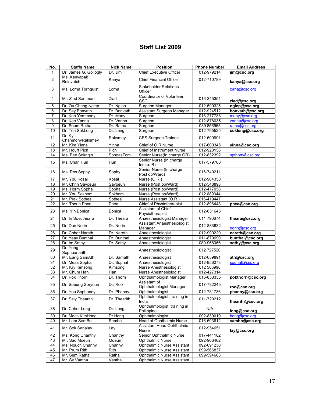#### **Staff List 2009**

| No.             | <b>Staffs Name</b>        | <b>Nick Name</b> | <b>Position</b>                               | <b>Phone Number</b> | <b>Email Address</b> |
|-----------------|---------------------------|------------------|-----------------------------------------------|---------------------|----------------------|
| 1               | Dr. James G. Gollogly     | Dr. Jim          | <b>Chief Executive Officer</b>                | 012-979214          | jim@csc.org          |
| $\overline{c}$  | Ms. Kanyapak<br>Reinvetch | Kanya            | <b>Chief Financial Officer</b>                | 012-710789          | kanya@csc.org        |
| 3               | Ms. Lorna Tornquist       | Lorna            | <b>Stakeholder Relations</b><br>Officer       |                     | lorna@csc.org        |
| 4               | Mr. Ziad Samman           | Ziad             | Coordinator of Volunteer<br><b>CSC</b>        | 016-345351          | ziad@csc.org         |
| 5               | Dr. Ou Cheng Ngiep        | Dr. Ngiep        | Surgeon Manager                               | 012-590325          | ngiep@csc.org        |
| 6               | Dr. Say Bonvath           | Dr. Bonvath      | Assistant Surgeon Manager                     | 012-924512          | bonvath@csc.org      |
| 7               | Dr. Keo Yemmony           | Dr. Monv         | Surgeon                                       | 016-277738          | mony@csc.org         |
| 8               | Dr. Keo Vanna             | Dr. Vanna        | Surgeon                                       | 012-878035          | vanna@csc.org        |
| 9               | Dr. Soum Ratha            | Dr. Ratha        | Surgeon                                       | 089 856955          | ratha@csc.org        |
| 10              | Dr. Tea SokLeng           | Dr. Leng         | Surgeon                                       | 012-795525          | sokleng@csc.org      |
| 11              | Dr. Ky<br>ChanmonyRaksmey | Raksmey          | CES Surgeon Trainee                           | 012-600991          |                      |
| 12              | Mr. Kim Yinna             | Yinna            | Chief of O.R Nurse                            | 017-600345          | yinna@csc.org        |
| 13              | Mr. Hourt Pich            | Pich             | Chief of Instrument Nurse                     | 012-923158          |                      |
| 14              | Ms. Bee Sokngin           | SphoasTom        | Senior Nurse(In charge OR)                    | 012-832392          | spthom@csc.org       |
| 15              | Ms. Chan Hun              | Hun              | Senior Nurse (In charge<br>Instru. R)         | 017-579768          |                      |
| 16              | Ms. Ros Sophy             | Sophy            | Senior Nurse (In charge<br>Post op/Ward)      | 016-740211          |                      |
| 17              | Mr. You Kosal             | Kosal            | Nurse (O.R.)                                  | 012-964358          |                      |
| 18              | Mr. Chrin Savoeun         | Savoeun          | Nurse (Post op/Ward)                          | 012-548893          |                      |
| 19              | Ms. Horm Sophal           | Sophal           | Nurse (Post op/Ward)                          | 012-477058          |                      |
| 20              | Mr. You Sokhom            | Sokhom           | Nurse (Post op/Ward)                          | 012 689344          |                      |
| 21              | Mr. Prak Sothea           | Sothea           | Nurse Assistant (O.R.)                        | 016-419447          |                      |
| 22              | Mr. Thoun Phea            | Phea             | Chief of Physiotherapist                      | 012-896448          | phea@csc.org         |
| 23              | Ms. Yin Bonica            | Bonica           | <b>Assistant of Chief</b><br>Physiotherapist  | 012-851645          |                      |
| 24              | Dr. In Sovutheara         | Dr. Theara       | Anaesthesiologist Manager                     | 011 790674          | theara@csc.org       |
| 25              | Dr. Dun Norin             | Dr. Norin        | <b>Assistant Anaesthesiologist</b><br>Manager | 012-833632          | norin@csc.org        |
| 26              | Dr. Chhor Nareth          | Dr. Nareth       | Anaesthesiologist                             | 012-990229          | nareth@csc.org       |
| 27              | Dr. Yeav Bunthai          | Dr. Bunthai      | Anaesthesiologist                             | 011-870690          | bunthai@csc.org      |
| 28              | Dr. Im Sothy              | Dr. Sothy        | Anaesthesiologist                             | 089-966066          | sothy@csc.org        |
| 29              | Dr. Yong<br>Sophoanarith  |                  | Anaesthesiologist                             | 012 727520          |                      |
| 30              | Mr. Eang SamAth           | Dr. Samath       | Anaesthesiologist                             | 012-659891          | ath@csc.org          |
| 31              | Dr. Meas Sophal           | Dr. Sophal       | Anaesthesiologist                             | 012-856073          | sophal@csc.org       |
| 32              | Mr. Kry Kimsong           | Kimsong          | <b>Nurse Anesthesiologist</b>                 | 012 583998          |                      |
| 33              | Mr. Chum Han              | Han              | <b>Nurse Anesthesiologist</b>                 | 012-427314          |                      |
| $\overline{34}$ | Dr. Pok Thorn             | Dr. Thorn        | Ophthalmologist Manager                       | 016-853335          | pokthorn@csc.org     |
| 35              | Dr. Soeung Soryoun        | Dr. Roo          | Assistant of<br>Ophthalmologist Manager       | 017-782245          | roo@csc.org          |
| 36              | Dr. You Sophanny          | Dr. Phanny       | Ophthalmologist                               | 012-731736          | phanny@csc.org       |
| 37              | Dr. Saly Thearith         | Dr. Thearith     | Ophthalmologist, training in<br>India         | 011-720212          | thearith@csc.org     |
| 38              | Dr. Chhor Long            | Dr. Long         | Ophthalmologist, training in<br>Philippine    | N/A                 | long@csc.org         |
| 39              | Dr. Moch KimHong          | Dr.Hong          | Ophthalmologist                               | 092-830019          | hong@csc.org         |
| 40              | Mr. Lam SamBo             | Sambo            | Head of Ophthalmic Nurse                      | 016-603612          | sambo@csc.org        |
| 41              | Mr. Sok Senalay           | Lay              | Assistant Head Ophthalmic<br>Nurse            | 012-954651          | lay@csc.org          |
| 42              | Ms. Kong Chanthy          | Chanthy          | Senior Ophthalmic Nurse                       | 017-441182          |                      |
| 43              | Mr. Sao Moeun             | Moeun            | Ophthalmic Nurse                              | 092-966462          |                      |
| 44              | Ms. Nouch Channy          | Channy           | <b>Ophthalmic Nurse Assistant</b>             | 092-691230          |                      |
| 45              | Mr. Prum Rith             | Rith             | Ophthalmic Nurse Assistant                    | 099-566837          |                      |
| 46              | Mr. Sem Ratha             | Ratha            | <b>Ophthalmic Nurse Assistant</b>             | 099-594663          |                      |
| 47              | Mr. Sy Vantha             | Vantha           | Ophthalmic Nurse Assistant                    |                     |                      |